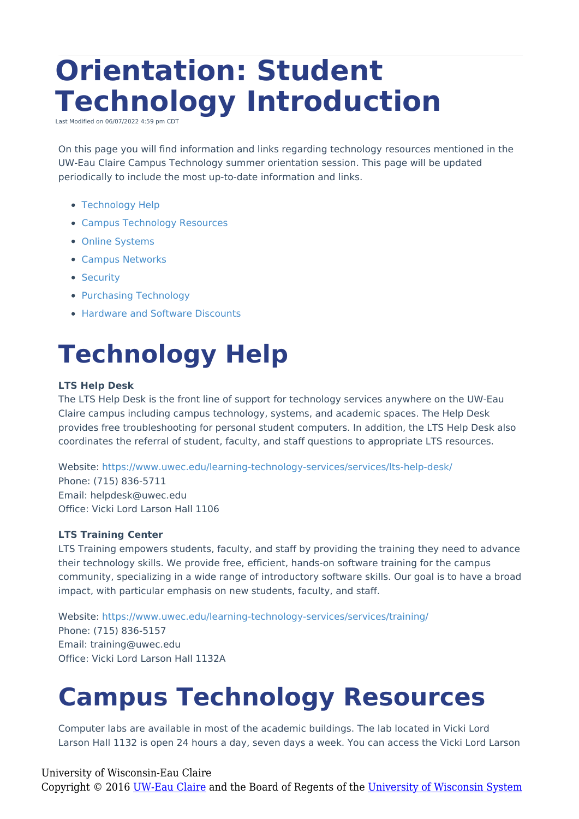# **Orientation: Student Technology Introduction**

Last Modified on 06/07/2022 4:59 pm CDT

On this page you will find information and links regarding technology resources mentioned in the UW-Eau Claire Campus Technology summer orientation session. This page will be updated periodically to include the most up-to-date information and links.

- [Technology](http://kb.uwec.edu/#Technology%20Help) Help
- Campus [Technology](http://kb.uwec.edu/#Campus%20Technology%20Resources) Resources
- Online [Systems](http://kb.uwec.edu/#Online%20Systems)
- Campus [Networks](http://kb.uwec.edu/#Campus%20Networks)
- [Security](http://kb.uwec.edu/#Security)
- Purchasing [Technology](http://kb.uwec.edu/#Purchasing%20Technology)
- Hardware and Software [Discounts](http://kb.uwec.edu/#Hardware%20and%20Software%20Discounts)

## **Technology Help**

#### **LTS Help Desk**

The LTS Help Desk is the front line of support for technology services anywhere on the UW-Eau Claire campus including campus technology, systems, and academic spaces. The Help Desk provides free troubleshooting for personal student computers. In addition, the LTS Help Desk also coordinates the referral of student, faculty, and staff questions to appropriate LTS resources.

Website: <https://www.uwec.edu/learning-technology-services/services/lts-help-desk/> Phone: (715) 836-5711 Email: helpdesk@uwec.edu Office: Vicki Lord Larson Hall 1106

#### **LTS Training Center**

LTS Training empowers students, faculty, and staff by providing the training they need to advance their technology skills. We provide free, efficient, hands-on software training for the campus community, specializing in a wide range of introductory software skills. Our goal is to have a broad impact, with particular emphasis on new students, faculty, and staff.

Website: <https://www.uwec.edu/learning-technology-services/services/training/> Phone: (715) 836-5157 Email: training@uwec.edu Office: Vicki Lord Larson Hall 1132A

### **Campus Technology Resources**

Computer labs are available in most of the academic buildings. The lab located in Vicki Lord Larson Hall 1132 is open 24 hours a day, seven days a week. You can access the Vicki Lord Larson

#### University of Wisconsin-Eau Claire

Copyright © 2016 [UW-Eau Claire](http://www.uwec.edu) and the Board of Regents of the [University of Wisconsin System](http://www.uwsa.edu/)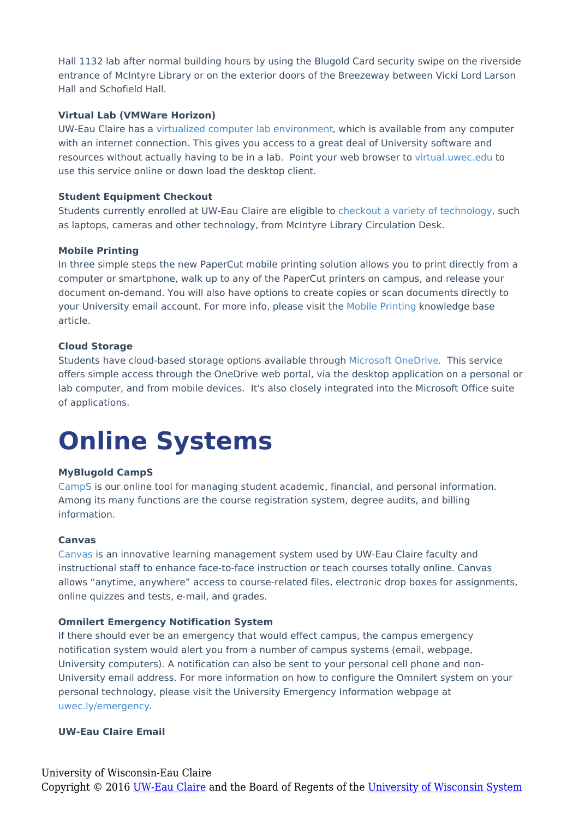Hall 1132 lab after normal building hours by using the Blugold Card security swipe on the riverside entrance of McIntyre Library or on the exterior doors of the Breezeway between Vicki Lord Larson Hall and Schofield Hall.

#### **Virtual Lab (VMWare Horizon)**

UW-Eau Claire has a virtualized computer lab [environment](https://www.uwec.edu/kb/article/software-lab-anywhere-virtual-lab/), which is available from any computer with an internet connection. This gives you access to a great deal of University software and resources without actually having to be in a lab. Point your web browser to [virtual.uwec.edu](https://virtual.uwec.edu) to use this service online or down load the desktop client.

#### **Student Equipment Checkout**

Students currently enrolled at UW-Eau Claire are eligible to checkout a variety of [technology,](https://www.uwec.edu/Library/reserve/laptop.htm) such as laptops, cameras and other technology, from McIntyre Library Circulation Desk.

#### **Mobile Printing**

In three simple steps the new PaperCut mobile printing solution allows you to print directly from a computer or smartphone, walk up to any of the PaperCut printers on campus, and release your document on-demand. You will also have options to create copies or scan documents directly to your University email account. For more info, please visit the Mobile [Printing](https://www.uwec.edu/kb/article/mobile-printing/) knowledge base article.

#### **Cloud Storage**

Students have cloud-based storage options available through [Microsoft](https://www.uwec.edu/kb/article/office-365-onedrive-introduction/) OneDrive. This service offers simple access through the OneDrive web portal, via the desktop application on a personal or lab computer, and from mobile devices. It's also closely integrated into the Microsoft Office suite of applications.

### **Online Systems**

#### **MyBlugold CampS**

[CampS](https://camps.uwec.edu/) is our online tool for managing student academic, financial, and personal information. Among its many functions are the course registration system, degree audits, and billing information.

#### **Canvas**

[Canvas](https://www.uwec.edu/canvas/) is an innovative learning management system used by UW-Eau Claire faculty and instructional staff to enhance face-to-face instruction or teach courses totally online. Canvas allows "anytime, anywhere" access to course-related files, electronic drop boxes for assignments, online quizzes and tests, e-mail, and grades.

#### **Omnilert Emergency Notification System**

If there should ever be an emergency that would effect campus, the campus emergency notification system would alert you from a number of campus systems (email, webpage, University computers). A notification can also be sent to your personal cell phone and non-University email address. For more information on how to configure the Omnilert system on your personal technology, please visit the University Emergency Information webpage at [uwec.ly/emergency](https://uwec.ly/emergency).

#### **UW-Eau Claire Email**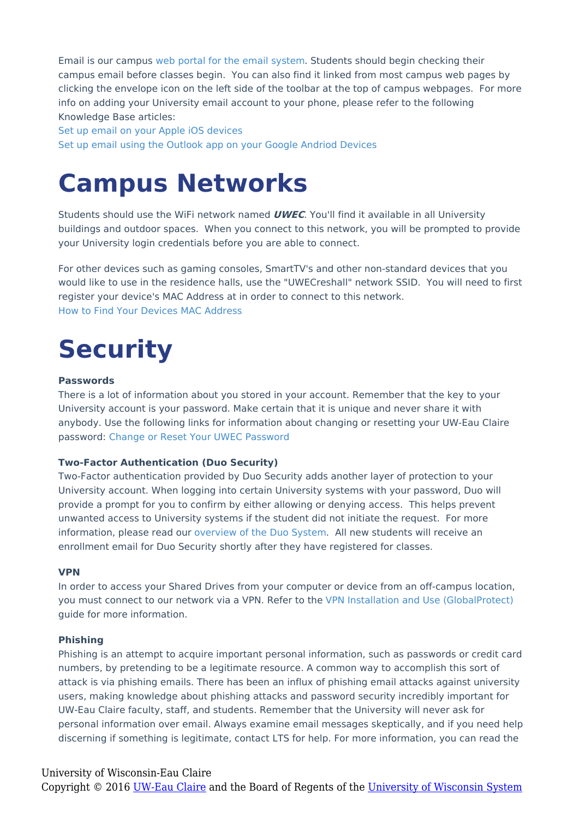Email is our campus web portal for the email [system](https://webmail.uwec.edu/). Students should begin checking their campus email before classes begin. You can also find it linked from most campus web pages by clicking the envelope icon on the left side of the toolbar at the top of campus webpages. For more info on adding your University email account to your phone, please refer to the following Knowledge Base articles:

Set up email on your Apple iOS [devices](https://www.uwec.edu/kb/article/office-365-configure-the-mail-app-on-ios-devices/) Set up email using the Outlook app on your Google Andriod [Devices](https://www.uwec.edu/kb/article/office-365-configure-the-outlook-app-on-android-devices/#configure)

### **Campus Networks**

Students should use the WiFi network named **UWEC**. You'll find it available in all University buildings and outdoor spaces. When you connect to this network, you will be prompted to provide your University login credentials before you are able to connect.

For other devices such as gaming consoles, SmartTV's and other non-standard devices that you would like to use in the residence halls, use the "UWECreshall" network SSID. You will need to first register your device's MAC Address at in order to connect to this network. How to Find Your Devices MAC [Address](https://www.uwec.edu/files/4571/How-to-find-MAC-addresses.pdf)

### **Security**

#### **Passwords**

There is a lot of information about you stored in your account. Remember that the key to your University account is your password. Make certain that it is unique and never share it with anybody. Use the following links for information about changing or resetting your UW-Eau Claire password: Change or Reset Your UWEC [Password](https://www.uwec.edu/kb/article/security-passwords/#change)

#### **Two-Factor Authentication (Duo Security)**

Two-Factor authentication provided by Duo Security adds another layer of protection to your University account. When logging into certain University systems with your password, Duo will provide a prompt for you to confirm by either allowing or denying access. This helps prevent unwanted access to University systems if the student did not initiate the request. For more information, please read our [overview](https://www.uwec.edu/kb/article/services-duo-overview/) of the Duo System. All new students will receive an enrollment email for Duo Security shortly after they have registered for classes.

#### **VPN**

In order to access your Shared Drives from your computer or device from an off-campus location, you must connect to our network via a VPN. Refer to the VPN Installation and Use [\(GlobalProtect\)](https://www.uwec.edu/kb/article/vpn-installation-and-use-globalprotect/) guide for more information.

#### **Phishing**

Phishing is an attempt to acquire important personal information, such as passwords or credit card numbers, by pretending to be a legitimate resource. A common way to accomplish this sort of attack is via phishing emails. There has been an influx of phishing email attacks against university users, making knowledge about phishing attacks and password security incredibly important for UW-Eau Claire faculty, staff, and students. Remember that the University will never ask for personal information over email. Always examine email messages skeptically, and if you need help discerning if something is legitimate, contact LTS for help. For more information, you can read the

#### University of Wisconsin-Eau Claire

Copyright © 2016 [UW-Eau Claire](http://www.uwec.edu) and the Board of Regents of the [University of Wisconsin System](http://www.uwsa.edu/)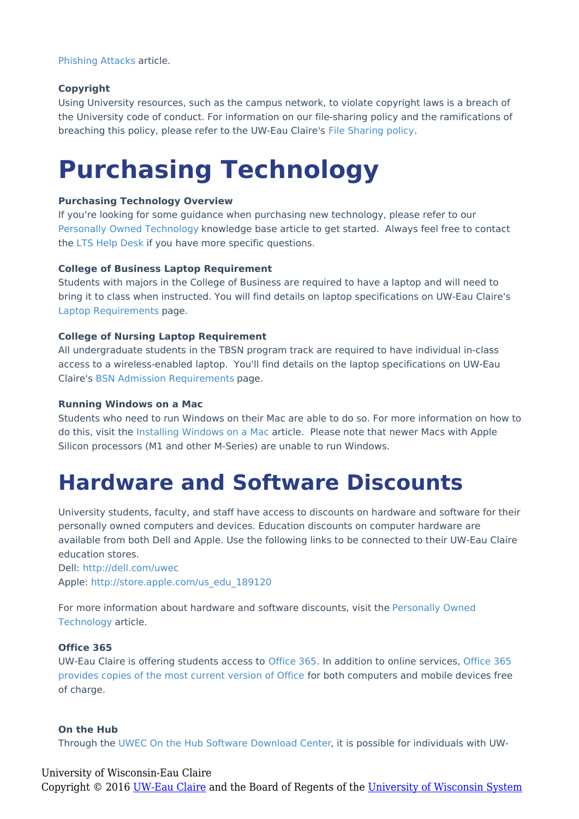[Phishing](http://kb.uwec.edu/help/security-phishing-attacks) Attacks article.

#### **Copyright**

Using University resources, such as the campus network, to violate copyright laws is a breach of the University code of conduct. For information on our file-sharing policy and the ramifications of breaching this policy, please refer to the UW-Eau Claire's File [Sharing](https://www.uwec.edu/copyright/uwec-file-sharing-policy/) policy.

### **Purchasing Technology**

#### **Purchasing Technology Overview**

If you're looking for some guidance when purchasing new technology, please refer to our Personally Owned [Technology](https://www.uwec.edu/kb/article/purchasing-personally-owned-technology/) knowledge base article to get started. Always feel free to contact the LTS Help [Desk](http://www.uwec.edu/lts) if you have more specific questions.

#### **College of Business Laptop Requirement**

Students with majors in the College of Business are required to have a laptop and will need to bring it to class when instructed. You will find details on laptop specifications on UW-Eau Claire's Laptop [Requirements](https://www.uwec.edu/academics/college-business/laptop-requirement/) page.

#### **College of Nursing Laptop Requirement**

All undergraduate students in the TBSN program track are required to have individual in-class access to a wireless-enabled laptop. You'll find details on the laptop specifications on UW-Eau Claire's BSN Admission [Requirements](https://www.uwec.edu/academics/college-nursing-health-sciences/departments-programs/nursing/academic-offerings/majors-minors/bachelor-nursing/admission-requirements/) page.

#### **Running Windows on a Mac**

Students who need to run Windows on their Mac are able to do so. For more information on how to do this, visit the [Installing](http://kb.uwec.edu/help/windows-installing-windows-on-macs) Windows on a Mac article. Please note that newer Macs with Apple Silicon processors (M1 and other M-Series) are unable to run Windows.

### **Hardware and Software Discounts**

University students, faculty, and staff have access to discounts on hardware and software for their personally owned computers and devices. Education discounts on computer hardware are available from both Dell and Apple. Use the following links to be connected to their UW-Eau Claire education stores.

Dell: <http://dell.com/uwec> Apple: [http://store.apple.com/us\\_edu\\_189120](http://store.apple.com/us_edu_189120)

For more [information](http://kb.uwec.edu/help/purchasing-personally-owned-technology) about hardware and software discounts, visit the Personally Owned Technology article.

#### **Office 365**

UW-Eau Claire is offering students access to [Office](http://kb.uwec.edu/help/office-365-introduction) 365. In addition to online services, Office 365 provides copies of the most current version of Office for both [computers](https://www.uwec.edu/kb/article/office-365-downloading-office-365-software/) and mobile devices free of charge.

#### **On the Hub**

Through the UWEC On the Hub Software [Download](https://www.uwec.edu/kb/article/on-the-hub-software-store/) Center, it is possible for individuals with UW-

#### University of Wisconsin-Eau Claire

Copyright © 2016 [UW-Eau Claire](http://www.uwec.edu) and the Board of Regents of the [University of Wisconsin System](http://www.uwsa.edu/)